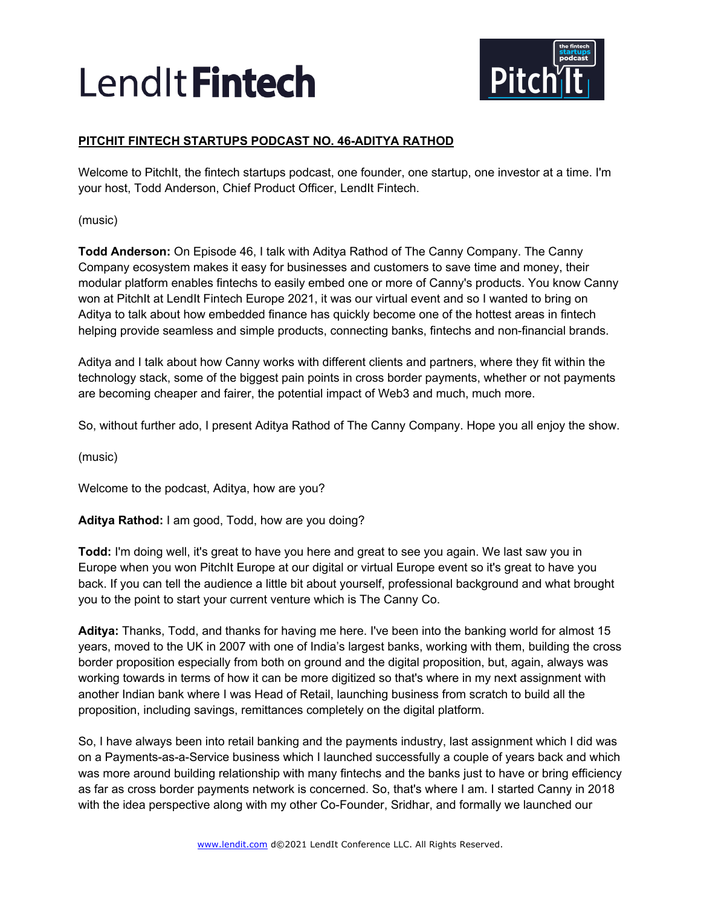

# **PITCHIT FINTECH STARTUPS PODCAST NO. 46-ADITYA RATHOD**

Welcome to PitchIt, the fintech startups podcast, one founder, one startup, one investor at a time. I'm your host, Todd Anderson, Chief Product Officer, LendIt Fintech.

(music)

**Todd Anderson:** On Episode 46, I talk with Aditya Rathod of The Canny Company. The Canny Company ecosystem makes it easy for businesses and customers to save time and money, their modular platform enables fintechs to easily embed one or more of Canny's products. You know Canny won at PitchIt at LendIt Fintech Europe 2021, it was our virtual event and so I wanted to bring on Aditya to talk about how embedded finance has quickly become one of the hottest areas in fintech helping provide seamless and simple products, connecting banks, fintechs and non-financial brands.

Aditya and I talk about how Canny works with different clients and partners, where they fit within the technology stack, some of the biggest pain points in cross border payments, whether or not payments are becoming cheaper and fairer, the potential impact of Web3 and much, much more.

So, without further ado, I present Aditya Rathod of The Canny Company. Hope you all enjoy the show.

(music)

Welcome to the podcast, Aditya, how are you?

## **Aditya Rathod:** I am good, Todd, how are you doing?

**Todd:** I'm doing well, it's great to have you here and great to see you again. We last saw you in Europe when you won PitchIt Europe at our digital or virtual Europe event so it's great to have you back. If you can tell the audience a little bit about yourself, professional background and what brought you to the point to start your current venture which is The Canny Co.

**Aditya:** Thanks, Todd, and thanks for having me here. I've been into the banking world for almost 15 years, moved to the UK in 2007 with one of India's largest banks, working with them, building the cross border proposition especially from both on ground and the digital proposition, but, again, always was working towards in terms of how it can be more digitized so that's where in my next assignment with another Indian bank where I was Head of Retail, launching business from scratch to build all the proposition, including savings, remittances completely on the digital platform.

So, I have always been into retail banking and the payments industry, last assignment which I did was on a Payments-as-a-Service business which I launched successfully a couple of years back and which was more around building relationship with many fintechs and the banks just to have or bring efficiency as far as cross border payments network is concerned. So, that's where I am. I started Canny in 2018 with the idea perspective along with my other Co-Founder, Sridhar, and formally we launched our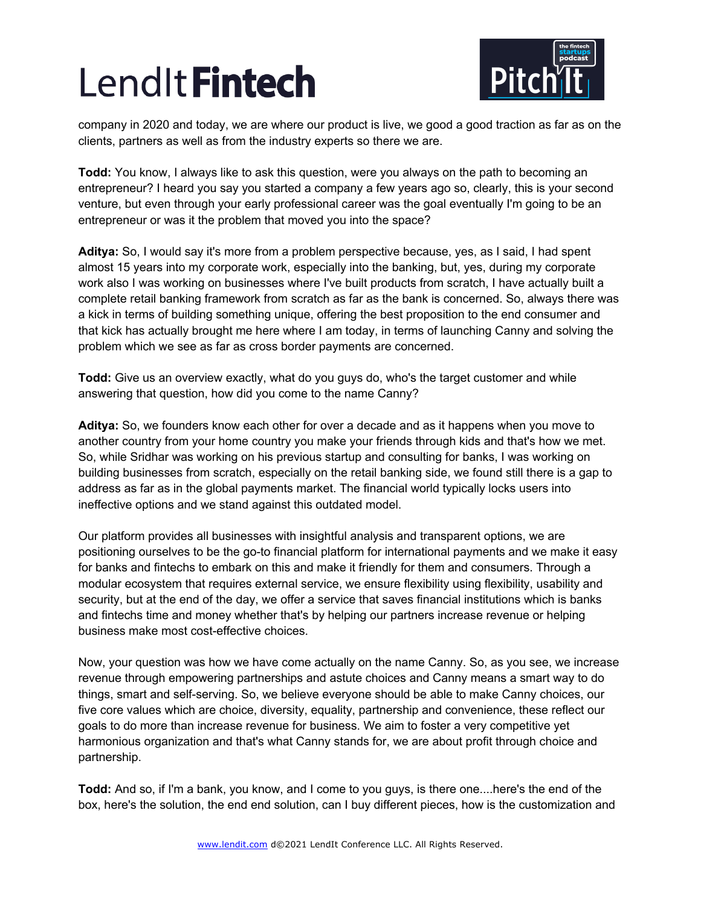

company in 2020 and today, we are where our product is live, we good a good traction as far as on the clients, partners as well as from the industry experts so there we are.

**Todd:** You know, I always like to ask this question, were you always on the path to becoming an entrepreneur? I heard you say you started a company a few years ago so, clearly, this is your second venture, but even through your early professional career was the goal eventually I'm going to be an entrepreneur or was it the problem that moved you into the space?

**Aditya:** So, I would say it's more from a problem perspective because, yes, as I said, I had spent almost 15 years into my corporate work, especially into the banking, but, yes, during my corporate work also I was working on businesses where I've built products from scratch, I have actually built a complete retail banking framework from scratch as far as the bank is concerned. So, always there was a kick in terms of building something unique, offering the best proposition to the end consumer and that kick has actually brought me here where I am today, in terms of launching Canny and solving the problem which we see as far as cross border payments are concerned.

**Todd:** Give us an overview exactly, what do you guys do, who's the target customer and while answering that question, how did you come to the name Canny?

**Aditya:** So, we founders know each other for over a decade and as it happens when you move to another country from your home country you make your friends through kids and that's how we met. So, while Sridhar was working on his previous startup and consulting for banks, I was working on building businesses from scratch, especially on the retail banking side, we found still there is a gap to address as far as in the global payments market. The financial world typically locks users into ineffective options and we stand against this outdated model.

Our platform provides all businesses with insightful analysis and transparent options, we are positioning ourselves to be the go-to financial platform for international payments and we make it easy for banks and fintechs to embark on this and make it friendly for them and consumers. Through a modular ecosystem that requires external service, we ensure flexibility using flexibility, usability and security, but at the end of the day, we offer a service that saves financial institutions which is banks and fintechs time and money whether that's by helping our partners increase revenue or helping business make most cost-effective choices.

Now, your question was how we have come actually on the name Canny. So, as you see, we increase revenue through empowering partnerships and astute choices and Canny means a smart way to do things, smart and self-serving. So, we believe everyone should be able to make Canny choices, our five core values which are choice, diversity, equality, partnership and convenience, these reflect our goals to do more than increase revenue for business. We aim to foster a very competitive yet harmonious organization and that's what Canny stands for, we are about profit through choice and partnership.

**Todd:** And so, if I'm a bank, you know, and I come to you guys, is there one....here's the end of the box, here's the solution, the end end solution, can I buy different pieces, how is the customization and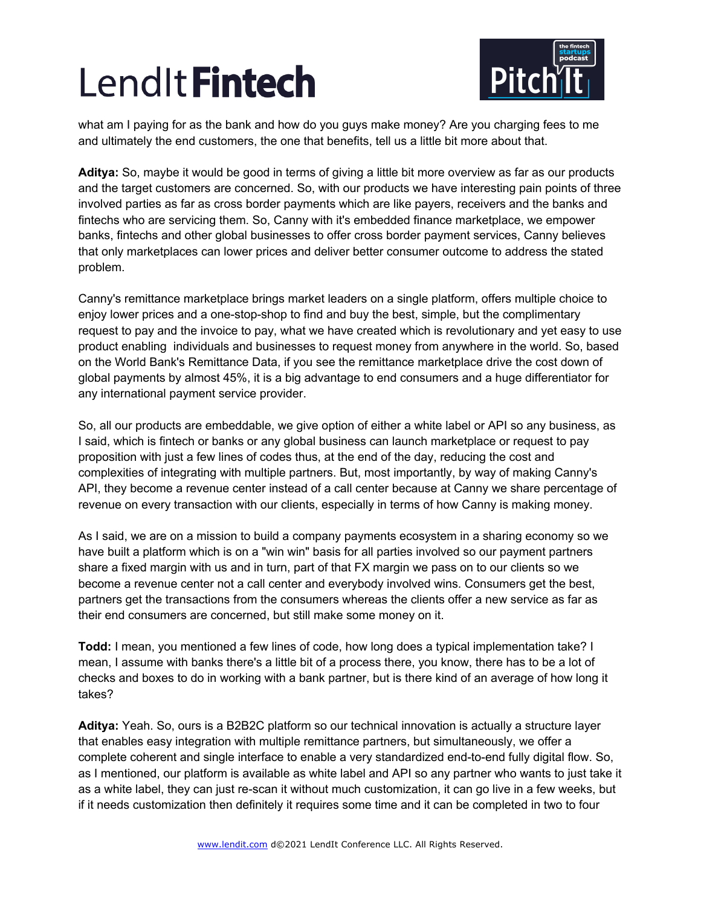

what am I paying for as the bank and how do you guys make money? Are you charging fees to me and ultimately the end customers, the one that benefits, tell us a little bit more about that.

**Aditya:** So, maybe it would be good in terms of giving a little bit more overview as far as our products and the target customers are concerned. So, with our products we have interesting pain points of three involved parties as far as cross border payments which are like payers, receivers and the banks and fintechs who are servicing them. So, Canny with it's embedded finance marketplace, we empower banks, fintechs and other global businesses to offer cross border payment services, Canny believes that only marketplaces can lower prices and deliver better consumer outcome to address the stated problem.

Canny's remittance marketplace brings market leaders on a single platform, offers multiple choice to enjoy lower prices and a one-stop-shop to find and buy the best, simple, but the complimentary request to pay and the invoice to pay, what we have created which is revolutionary and yet easy to use product enabling individuals and businesses to request money from anywhere in the world. So, based on the World Bank's Remittance Data, if you see the remittance marketplace drive the cost down of global payments by almost 45%, it is a big advantage to end consumers and a huge differentiator for any international payment service provider.

So, all our products are embeddable, we give option of either a white label or API so any business, as I said, which is fintech or banks or any global business can launch marketplace or request to pay proposition with just a few lines of codes thus, at the end of the day, reducing the cost and complexities of integrating with multiple partners. But, most importantly, by way of making Canny's API, they become a revenue center instead of a call center because at Canny we share percentage of revenue on every transaction with our clients, especially in terms of how Canny is making money.

As I said, we are on a mission to build a company payments ecosystem in a sharing economy so we have built a platform which is on a "win win" basis for all parties involved so our payment partners share a fixed margin with us and in turn, part of that FX margin we pass on to our clients so we become a revenue center not a call center and everybody involved wins. Consumers get the best, partners get the transactions from the consumers whereas the clients offer a new service as far as their end consumers are concerned, but still make some money on it.

**Todd:** I mean, you mentioned a few lines of code, how long does a typical implementation take? I mean, I assume with banks there's a little bit of a process there, you know, there has to be a lot of checks and boxes to do in working with a bank partner, but is there kind of an average of how long it takes?

**Aditya:** Yeah. So, ours is a B2B2C platform so our technical innovation is actually a structure layer that enables easy integration with multiple remittance partners, but simultaneously, we offer a complete coherent and single interface to enable a very standardized end-to-end fully digital flow. So, as I mentioned, our platform is available as white label and API so any partner who wants to just take it as a white label, they can just re-scan it without much customization, it can go live in a few weeks, but if it needs customization then definitely it requires some time and it can be completed in two to four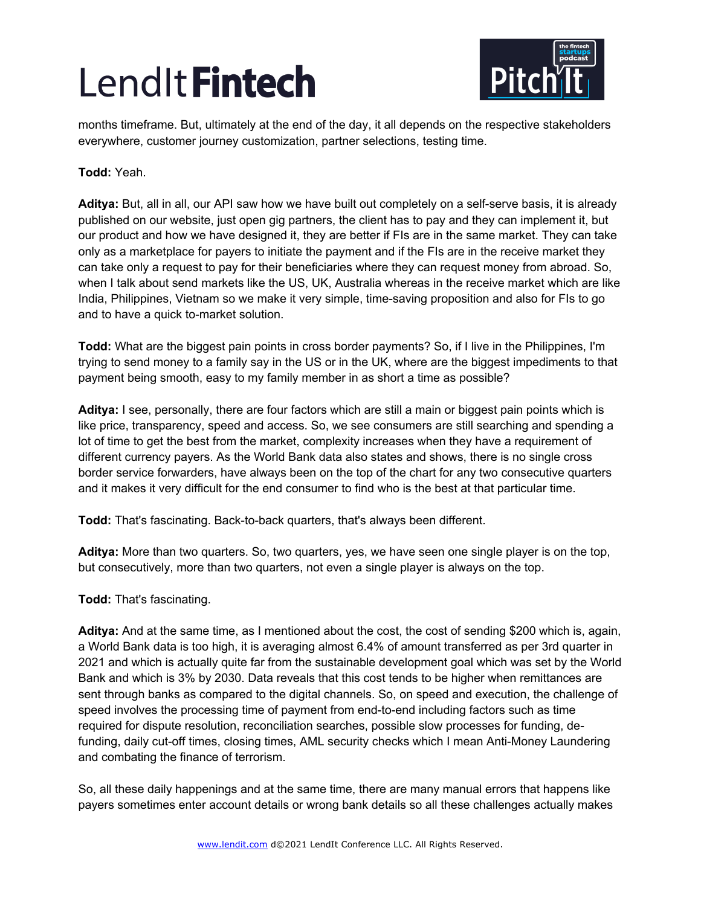

months timeframe. But, ultimately at the end of the day, it all depends on the respective stakeholders everywhere, customer journey customization, partner selections, testing time.

## **Todd:** Yeah.

**Aditya:** But, all in all, our API saw how we have built out completely on a self-serve basis, it is already published on our website, just open gig partners, the client has to pay and they can implement it, but our product and how we have designed it, they are better if FIs are in the same market. They can take only as a marketplace for payers to initiate the payment and if the FIs are in the receive market they can take only a request to pay for their beneficiaries where they can request money from abroad. So, when I talk about send markets like the US, UK, Australia whereas in the receive market which are like India, Philippines, Vietnam so we make it very simple, time-saving proposition and also for FIs to go and to have a quick to-market solution.

**Todd:** What are the biggest pain points in cross border payments? So, if I live in the Philippines, I'm trying to send money to a family say in the US or in the UK, where are the biggest impediments to that payment being smooth, easy to my family member in as short a time as possible?

**Aditya:** I see, personally, there are four factors which are still a main or biggest pain points which is like price, transparency, speed and access. So, we see consumers are still searching and spending a lot of time to get the best from the market, complexity increases when they have a requirement of different currency payers. As the World Bank data also states and shows, there is no single cross border service forwarders, have always been on the top of the chart for any two consecutive quarters and it makes it very difficult for the end consumer to find who is the best at that particular time.

**Todd:** That's fascinating. Back-to-back quarters, that's always been different.

**Aditya:** More than two quarters. So, two quarters, yes, we have seen one single player is on the top, but consecutively, more than two quarters, not even a single player is always on the top.

## **Todd:** That's fascinating.

**Aditya:** And at the same time, as I mentioned about the cost, the cost of sending \$200 which is, again, a World Bank data is too high, it is averaging almost 6.4% of amount transferred as per 3rd quarter in 2021 and which is actually quite far from the sustainable development goal which was set by the World Bank and which is 3% by 2030. Data reveals that this cost tends to be higher when remittances are sent through banks as compared to the digital channels. So, on speed and execution, the challenge of speed involves the processing time of payment from end-to-end including factors such as time required for dispute resolution, reconciliation searches, possible slow processes for funding, defunding, daily cut-off times, closing times, AML security checks which I mean Anti-Money Laundering and combating the finance of terrorism.

So, all these daily happenings and at the same time, there are many manual errors that happens like payers sometimes enter account details or wrong bank details so all these challenges actually makes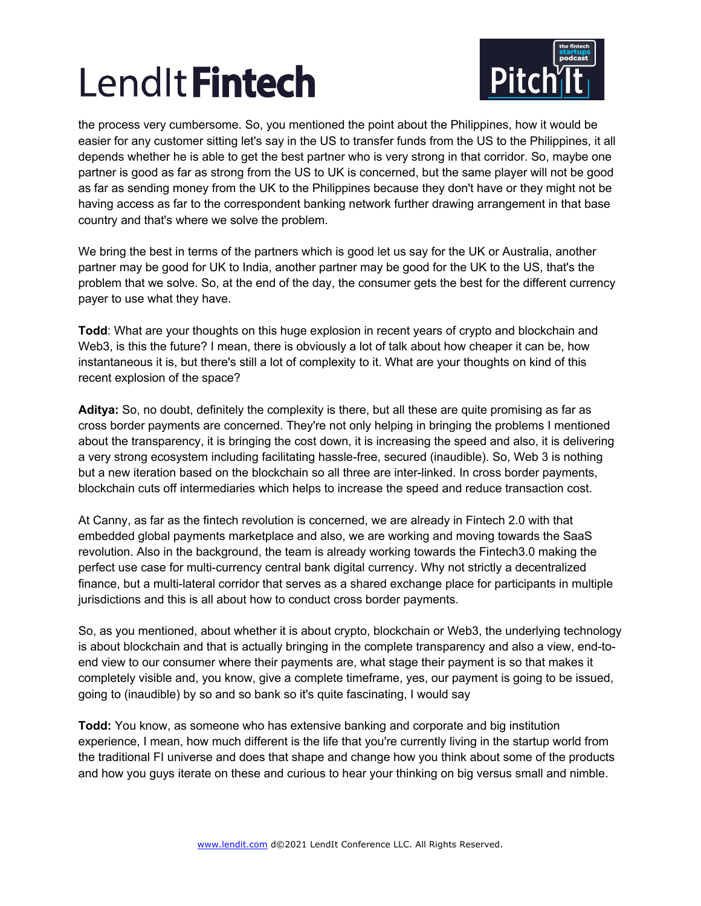

the process very cumbersome. So, you mentioned the point about the Philippines, how it would be easier for any customer sitting let's say in the US to transfer funds from the US to the Philippines, it all depends whether he is able to get the best partner who is very strong in that corridor. So, maybe one partner is good as far as strong from the US to UK is concerned, but the same player will not be good as far as sending money from the UK to the Philippines because they don't have or they might not be having access as far to the correspondent banking network further drawing arrangement in that base country and that's where we solve the problem.

We bring the best in terms of the partners which is good let us say for the UK or Australia, another partner may be good for UK to India, another partner may be good for the UK to the US, that's the problem that we solve. So, at the end of the day, the consumer gets the best for the different currency payer to use what they have.

**Todd**: What are your thoughts on this huge explosion in recent years of crypto and blockchain and Web3, is this the future? I mean, there is obviously a lot of talk about how cheaper it can be, how instantaneous it is, but there's still a lot of complexity to it. What are your thoughts on kind of this recent explosion of the space?

**Aditya:** So, no doubt, definitely the complexity is there, but all these are quite promising as far as cross border payments are concerned. They're not only helping in bringing the problems I mentioned about the transparency, it is bringing the cost down, it is increasing the speed and also, it is delivering a very strong ecosystem including facilitating hassle-free, secured (inaudible). So, Web 3 is nothing but a new iteration based on the blockchain so all three are inter-linked. In cross border payments, blockchain cuts off intermediaries which helps to increase the speed and reduce transaction cost.

At Canny, as far as the fintech revolution is concerned, we are already in Fintech 2.0 with that embedded global payments marketplace and also, we are working and moving towards the SaaS revolution. Also in the background, the team is already working towards the Fintech3.0 making the perfect use case for multi-currency central bank digital currency. Why not strictly a decentralized finance, but a multi-lateral corridor that serves as a shared exchange place for participants in multiple jurisdictions and this is all about how to conduct cross border payments.

So, as you mentioned, about whether it is about crypto, blockchain or Web3, the underlying technology is about blockchain and that is actually bringing in the complete transparency and also a view, end-toend view to our consumer where their payments are, what stage their payment is so that makes it completely visible and, you know, give a complete timeframe, yes, our payment is going to be issued, going to (inaudible) by so and so bank so it's quite fascinating, I would say

**Todd:** You know, as someone who has extensive banking and corporate and big institution experience, I mean, how much different is the life that you're currently living in the startup world from the traditional FI universe and does that shape and change how you think about some of the products and how you guys iterate on these and curious to hear your thinking on big versus small and nimble.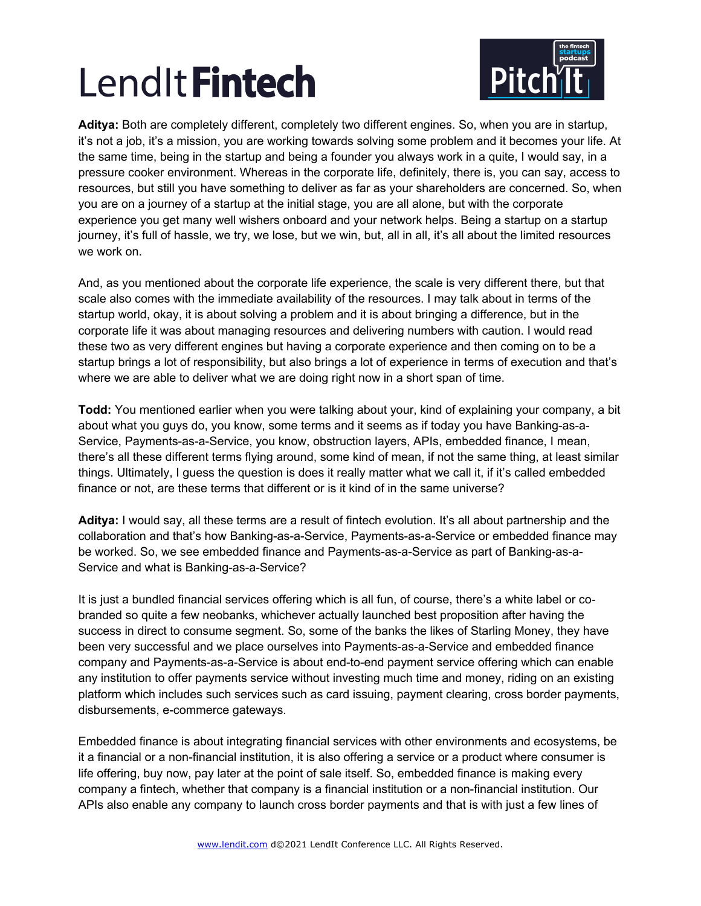

**Aditya:** Both are completely different, completely two different engines. So, when you are in startup, it's not a job, it's a mission, you are working towards solving some problem and it becomes your life. At the same time, being in the startup and being a founder you always work in a quite, I would say, in a pressure cooker environment. Whereas in the corporate life, definitely, there is, you can say, access to resources, but still you have something to deliver as far as your shareholders are concerned. So, when you are on a journey of a startup at the initial stage, you are all alone, but with the corporate experience you get many well wishers onboard and your network helps. Being a startup on a startup journey, it's full of hassle, we try, we lose, but we win, but, all in all, it's all about the limited resources we work on.

And, as you mentioned about the corporate life experience, the scale is very different there, but that scale also comes with the immediate availability of the resources. I may talk about in terms of the startup world, okay, it is about solving a problem and it is about bringing a difference, but in the corporate life it was about managing resources and delivering numbers with caution. I would read these two as very different engines but having a corporate experience and then coming on to be a startup brings a lot of responsibility, but also brings a lot of experience in terms of execution and that's where we are able to deliver what we are doing right now in a short span of time.

**Todd:** You mentioned earlier when you were talking about your, kind of explaining your company, a bit about what you guys do, you know, some terms and it seems as if today you have Banking-as-a-Service, Payments-as-a-Service, you know, obstruction layers, APIs, embedded finance, I mean, there's all these different terms flying around, some kind of mean, if not the same thing, at least similar things. Ultimately, I guess the question is does it really matter what we call it, if it's called embedded finance or not, are these terms that different or is it kind of in the same universe?

**Aditya:** I would say, all these terms are a result of fintech evolution. It's all about partnership and the collaboration and that's how Banking-as-a-Service, Payments-as-a-Service or embedded finance may be worked. So, we see embedded finance and Payments-as-a-Service as part of Banking-as-a-Service and what is Banking-as-a-Service?

It is just a bundled financial services offering which is all fun, of course, there's a white label or cobranded so quite a few neobanks, whichever actually launched best proposition after having the success in direct to consume segment. So, some of the banks the likes of Starling Money, they have been very successful and we place ourselves into Payments-as-a-Service and embedded finance company and Payments-as-a-Service is about end-to-end payment service offering which can enable any institution to offer payments service without investing much time and money, riding on an existing platform which includes such services such as card issuing, payment clearing, cross border payments, disbursements, e-commerce gateways.

Embedded finance is about integrating financial services with other environments and ecosystems, be it a financial or a non-financial institution, it is also offering a service or a product where consumer is life offering, buy now, pay later at the point of sale itself. So, embedded finance is making every company a fintech, whether that company is a financial institution or a non-financial institution. Our APIs also enable any company to launch cross border payments and that is with just a few lines of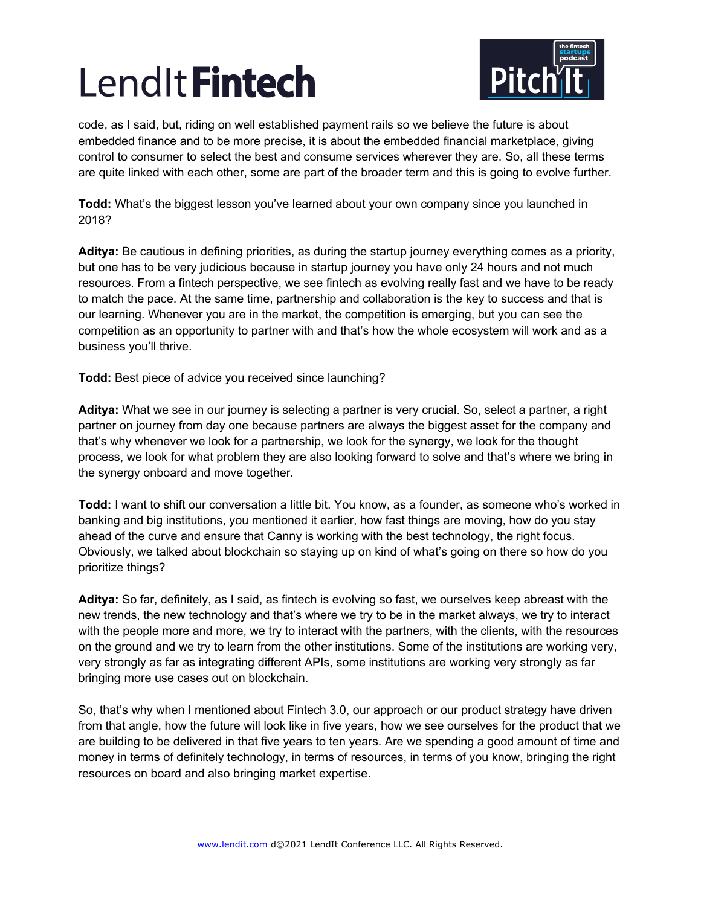

code, as I said, but, riding on well established payment rails so we believe the future is about embedded finance and to be more precise, it is about the embedded financial marketplace, giving control to consumer to select the best and consume services wherever they are. So, all these terms are quite linked with each other, some are part of the broader term and this is going to evolve further.

**Todd:** What's the biggest lesson you've learned about your own company since you launched in 2018?

**Aditya:** Be cautious in defining priorities, as during the startup journey everything comes as a priority, but one has to be very judicious because in startup journey you have only 24 hours and not much resources. From a fintech perspective, we see fintech as evolving really fast and we have to be ready to match the pace. At the same time, partnership and collaboration is the key to success and that is our learning. Whenever you are in the market, the competition is emerging, but you can see the competition as an opportunity to partner with and that's how the whole ecosystem will work and as a business you'll thrive.

**Todd:** Best piece of advice you received since launching?

**Aditya:** What we see in our journey is selecting a partner is very crucial. So, select a partner, a right partner on journey from day one because partners are always the biggest asset for the company and that's why whenever we look for a partnership, we look for the synergy, we look for the thought process, we look for what problem they are also looking forward to solve and that's where we bring in the synergy onboard and move together.

**Todd:** I want to shift our conversation a little bit. You know, as a founder, as someone who's worked in banking and big institutions, you mentioned it earlier, how fast things are moving, how do you stay ahead of the curve and ensure that Canny is working with the best technology, the right focus. Obviously, we talked about blockchain so staying up on kind of what's going on there so how do you prioritize things?

**Aditya:** So far, definitely, as I said, as fintech is evolving so fast, we ourselves keep abreast with the new trends, the new technology and that's where we try to be in the market always, we try to interact with the people more and more, we try to interact with the partners, with the clients, with the resources on the ground and we try to learn from the other institutions. Some of the institutions are working very, very strongly as far as integrating different APIs, some institutions are working very strongly as far bringing more use cases out on blockchain.

So, that's why when I mentioned about Fintech 3.0, our approach or our product strategy have driven from that angle, how the future will look like in five years, how we see ourselves for the product that we are building to be delivered in that five years to ten years. Are we spending a good amount of time and money in terms of definitely technology, in terms of resources, in terms of you know, bringing the right resources on board and also bringing market expertise.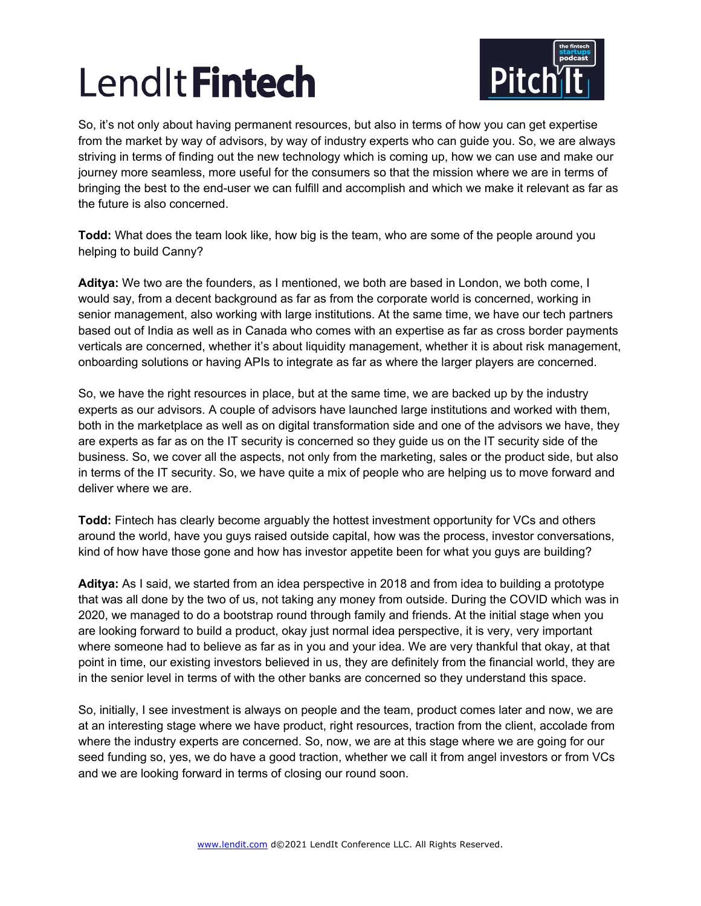

So, it's not only about having permanent resources, but also in terms of how you can get expertise from the market by way of advisors, by way of industry experts who can guide you. So, we are always striving in terms of finding out the new technology which is coming up, how we can use and make our journey more seamless, more useful for the consumers so that the mission where we are in terms of bringing the best to the end-user we can fulfill and accomplish and which we make it relevant as far as the future is also concerned.

**Todd:** What does the team look like, how big is the team, who are some of the people around you helping to build Canny?

**Aditya:** We two are the founders, as I mentioned, we both are based in London, we both come, I would say, from a decent background as far as from the corporate world is concerned, working in senior management, also working with large institutions. At the same time, we have our tech partners based out of India as well as in Canada who comes with an expertise as far as cross border payments verticals are concerned, whether it's about liquidity management, whether it is about risk management, onboarding solutions or having APIs to integrate as far as where the larger players are concerned.

So, we have the right resources in place, but at the same time, we are backed up by the industry experts as our advisors. A couple of advisors have launched large institutions and worked with them, both in the marketplace as well as on digital transformation side and one of the advisors we have, they are experts as far as on the IT security is concerned so they guide us on the IT security side of the business. So, we cover all the aspects, not only from the marketing, sales or the product side, but also in terms of the IT security. So, we have quite a mix of people who are helping us to move forward and deliver where we are.

**Todd:** Fintech has clearly become arguably the hottest investment opportunity for VCs and others around the world, have you guys raised outside capital, how was the process, investor conversations, kind of how have those gone and how has investor appetite been for what you guys are building?

**Aditya:** As I said, we started from an idea perspective in 2018 and from idea to building a prototype that was all done by the two of us, not taking any money from outside. During the COVID which was in 2020, we managed to do a bootstrap round through family and friends. At the initial stage when you are looking forward to build a product, okay just normal idea perspective, it is very, very important where someone had to believe as far as in you and your idea. We are very thankful that okay, at that point in time, our existing investors believed in us, they are definitely from the financial world, they are in the senior level in terms of with the other banks are concerned so they understand this space.

So, initially, I see investment is always on people and the team, product comes later and now, we are at an interesting stage where we have product, right resources, traction from the client, accolade from where the industry experts are concerned. So, now, we are at this stage where we are going for our seed funding so, yes, we do have a good traction, whether we call it from angel investors or from VCs and we are looking forward in terms of closing our round soon.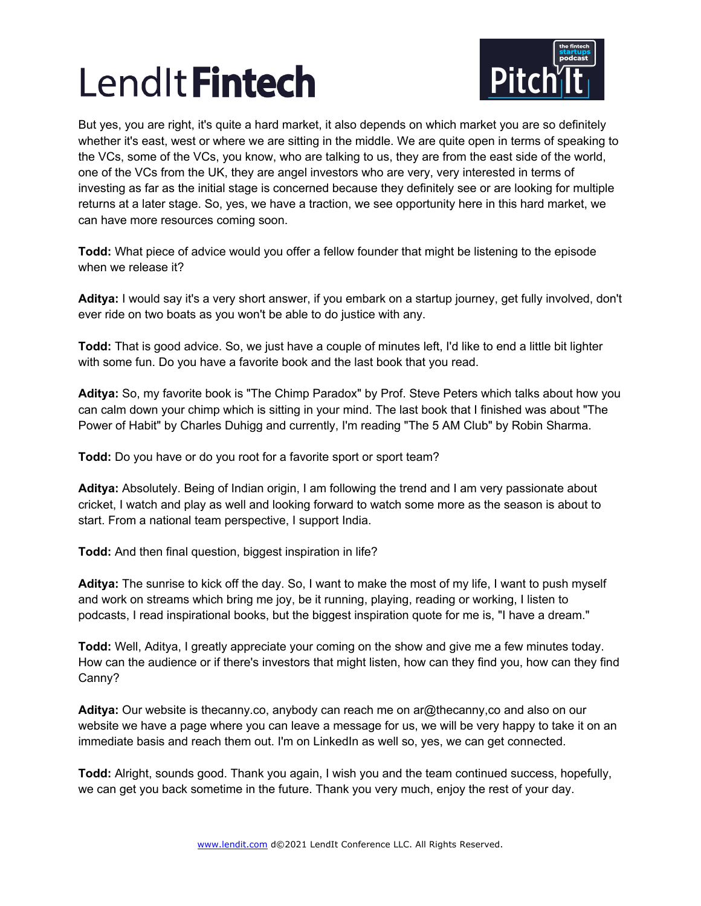

But yes, you are right, it's quite a hard market, it also depends on which market you are so definitely whether it's east, west or where we are sitting in the middle. We are quite open in terms of speaking to the VCs, some of the VCs, you know, who are talking to us, they are from the east side of the world, one of the VCs from the UK, they are angel investors who are very, very interested in terms of investing as far as the initial stage is concerned because they definitely see or are looking for multiple returns at a later stage. So, yes, we have a traction, we see opportunity here in this hard market, we can have more resources coming soon.

**Todd:** What piece of advice would you offer a fellow founder that might be listening to the episode when we release it?

**Aditya:** I would say it's a very short answer, if you embark on a startup journey, get fully involved, don't ever ride on two boats as you won't be able to do justice with any.

**Todd:** That is good advice. So, we just have a couple of minutes left, I'd like to end a little bit lighter with some fun. Do you have a favorite book and the last book that you read.

**Aditya:** So, my favorite book is "The Chimp Paradox" by Prof. Steve Peters which talks about how you can calm down your chimp which is sitting in your mind. The last book that I finished was about "The Power of Habit" by Charles Duhigg and currently, I'm reading "The 5 AM Club" by Robin Sharma.

**Todd:** Do you have or do you root for a favorite sport or sport team?

**Aditya:** Absolutely. Being of Indian origin, I am following the trend and I am very passionate about cricket, I watch and play as well and looking forward to watch some more as the season is about to start. From a national team perspective, I support India.

**Todd:** And then final question, biggest inspiration in life?

**Aditya:** The sunrise to kick off the day. So, I want to make the most of my life, I want to push myself and work on streams which bring me joy, be it running, playing, reading or working, I listen to podcasts, I read inspirational books, but the biggest inspiration quote for me is, "I have a dream."

**Todd:** Well, Aditya, I greatly appreciate your coming on the show and give me a few minutes today. How can the audience or if there's investors that might listen, how can they find you, how can they find Canny?

**Aditya:** Our website is thecanny.co, anybody can reach me on ar@thecanny,co and also on our website we have a page where you can leave a message for us, we will be very happy to take it on an immediate basis and reach them out. I'm on LinkedIn as well so, yes, we can get connected.

**Todd:** Alright, sounds good. Thank you again, I wish you and the team continued success, hopefully, we can get you back sometime in the future. Thank you very much, enjoy the rest of your day.